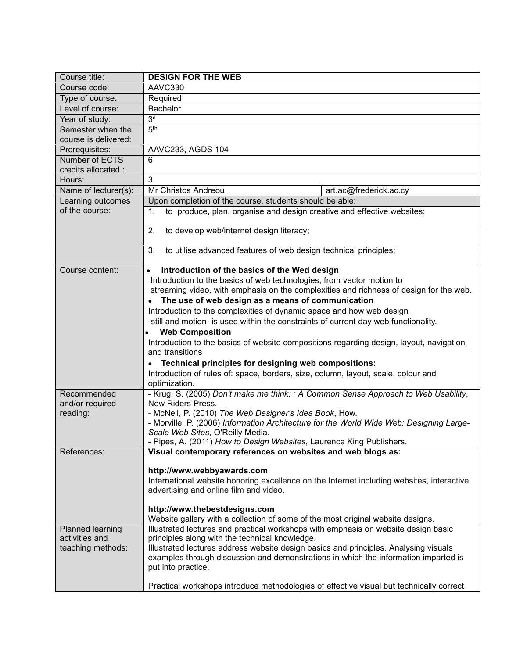| Course title:        | <b>DESIGN FOR THE WEB</b>                                                                                                          |
|----------------------|------------------------------------------------------------------------------------------------------------------------------------|
| Course code:         | AAVC330                                                                                                                            |
| Type of course:      | Required                                                                                                                           |
| Level of course:     | <b>Bachelor</b>                                                                                                                    |
| Year of study:       | 3 <sup>d</sup>                                                                                                                     |
| Semester when the    | 5 <sup>th</sup>                                                                                                                    |
| course is delivered: |                                                                                                                                    |
| Prerequisites:       | AAVC233, AGDS 104                                                                                                                  |
| Number of ECTS       | 6                                                                                                                                  |
| credits allocated :  |                                                                                                                                    |
| Hours:               | 3                                                                                                                                  |
| Name of lecturer(s): | Mr Christos Andreou<br>art.ac@frederick.ac.cy                                                                                      |
| Learning outcomes    | Upon completion of the course, students should be able:                                                                            |
| of the course:       | to produce, plan, organise and design creative and effective websites;<br>1.                                                       |
|                      |                                                                                                                                    |
|                      | to develop web/internet design literacy;<br>2.                                                                                     |
|                      |                                                                                                                                    |
|                      | to utilise advanced features of web design technical principles;<br>3.                                                             |
| Course content:      |                                                                                                                                    |
|                      | Introduction of the basics of the Wed design<br>$\bullet$<br>Introduction to the basics of web technologies, from vector motion to |
|                      | streaming video, with emphasis on the complexities and richness of design for the web.                                             |
|                      | The use of web design as a means of communication                                                                                  |
|                      | Introduction to the complexities of dynamic space and how web design                                                               |
|                      | -still and motion- is used within the constraints of current day web functionality.                                                |
|                      | <b>Web Composition</b>                                                                                                             |
|                      | Introduction to the basics of website compositions regarding design, layout, navigation                                            |
|                      | and transitions                                                                                                                    |
|                      | Technical principles for designing web compositions:                                                                               |
|                      | Introduction of rules of: space, borders, size, column, layout, scale, colour and                                                  |
|                      | optimization.                                                                                                                      |
| Recommended          | - Krug, S. (2005) Don't make me think: : A Common Sense Approach to Web Usability,                                                 |
| and/or required      | New Riders Press.                                                                                                                  |
| reading:             | - McNeil, P. (2010) The Web Designer's Idea Book, How.                                                                             |
|                      | - Morville, P. (2006) Information Architecture for the World Wide Web: Designing Large-                                            |
|                      | Scale Web Sites, O'Reilly Media.                                                                                                   |
|                      | - Pipes, A. (2011) How to Design Websites, Laurence King Publishers                                                                |
| References:          | Visual contemporary references on websites and web blogs as:                                                                       |
|                      | http://www.webbyawards.com                                                                                                         |
|                      | International website honoring excellence on the Internet including websites, interactive                                          |
|                      | advertising and online film and video.                                                                                             |
|                      |                                                                                                                                    |
|                      | http://www.thebestdesigns.com                                                                                                      |
|                      | Website gallery with a collection of some of the most original website designs.                                                    |
| Planned learning     | Illustrated lectures and practical workshops with emphasis on website design basic                                                 |
| activities and       | principles along with the technical knowledge.                                                                                     |
| teaching methods:    | Illustrated lectures address website design basics and principles. Analysing visuals                                               |
|                      | examples through discussion and demonstrations in which the information imparted is                                                |
|                      | put into practice.                                                                                                                 |
|                      | Practical workshops introduce methodologies of effective visual but technically correct                                            |
|                      |                                                                                                                                    |